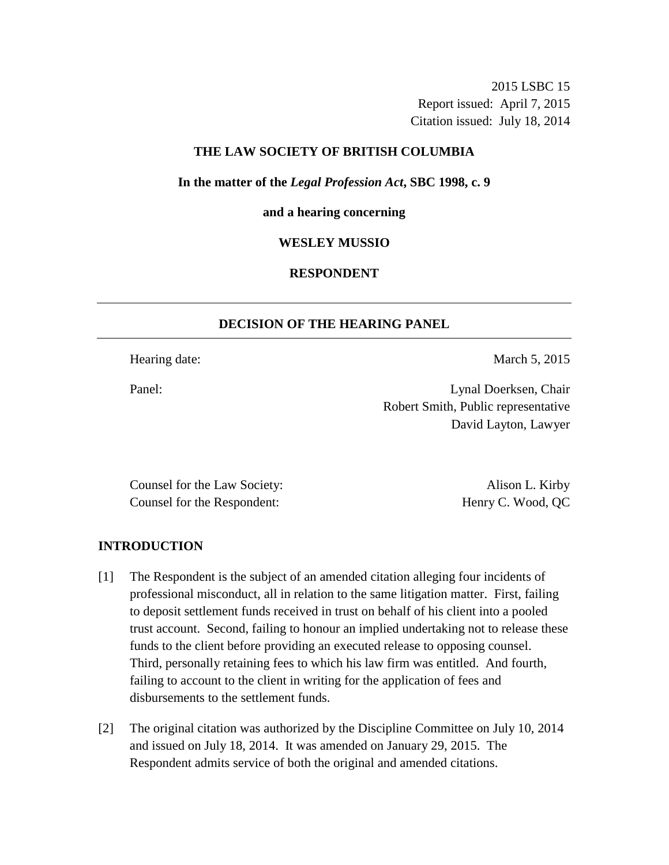2015 LSBC 15 Report issued: April 7, 2015 Citation issued: July 18, 2014

## **THE LAW SOCIETY OF BRITISH COLUMBIA**

**In the matter of the** *Legal Profession Act***, SBC 1998, c. 9** 

#### **and a hearing concerning**

#### **WESLEY MUSSIO**

## **RESPONDENT**

### **DECISION OF THE HEARING PANEL**

Hearing date: March 5, 2015

Panel: Lynal Doerksen, Chair Robert Smith, Public representative David Layton, Lawyer

Counsel for the Law Society: Alison L. Kirby Counsel for the Respondent: Henry C. Wood, QC

## **INTRODUCTION**

- [1] The Respondent is the subject of an amended citation alleging four incidents of professional misconduct, all in relation to the same litigation matter. First, failing to deposit settlement funds received in trust on behalf of his client into a pooled trust account. Second, failing to honour an implied undertaking not to release these funds to the client before providing an executed release to opposing counsel. Third, personally retaining fees to which his law firm was entitled. And fourth, failing to account to the client in writing for the application of fees and disbursements to the settlement funds.
- [2] The original citation was authorized by the Discipline Committee on July 10, 2014 and issued on July 18, 2014. It was amended on January 29, 2015. The Respondent admits service of both the original and amended citations.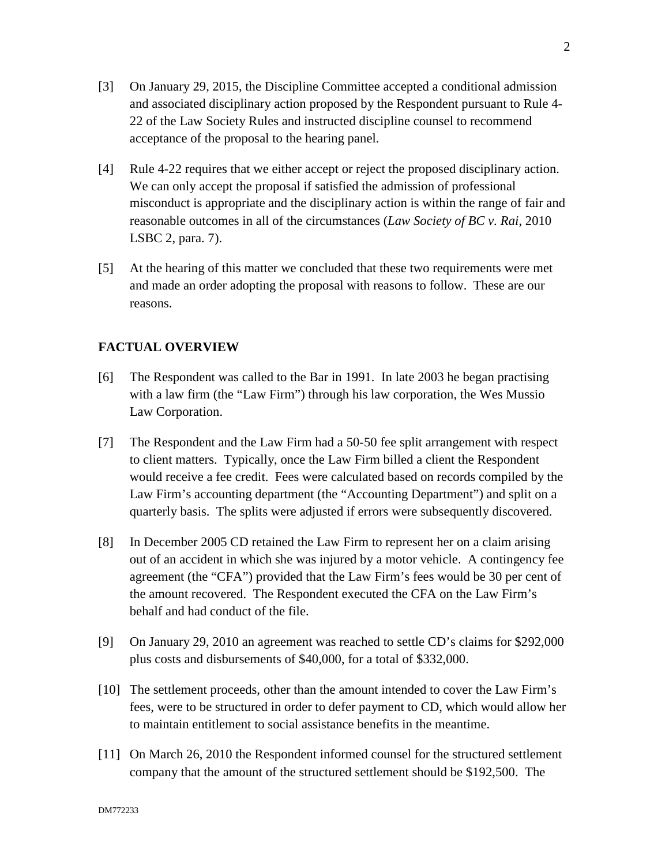- [3] On January 29, 2015, the Discipline Committee accepted a conditional admission and associated disciplinary action proposed by the Respondent pursuant to Rule 4- 22 of the Law Society Rules and instructed discipline counsel to recommend acceptance of the proposal to the hearing panel.
- [4] Rule 4-22 requires that we either accept or reject the proposed disciplinary action. We can only accept the proposal if satisfied the admission of professional misconduct is appropriate and the disciplinary action is within the range of fair and reasonable outcomes in all of the circumstances (*Law Society of BC v. Rai*, 2010 LSBC 2, para. 7).
- [5] At the hearing of this matter we concluded that these two requirements were met and made an order adopting the proposal with reasons to follow. These are our reasons.

## **FACTUAL OVERVIEW**

- [6] The Respondent was called to the Bar in 1991. In late 2003 he began practising with a law firm (the "Law Firm") through his law corporation, the Wes Mussio Law Corporation.
- [7] The Respondent and the Law Firm had a 50-50 fee split arrangement with respect to client matters. Typically, once the Law Firm billed a client the Respondent would receive a fee credit. Fees were calculated based on records compiled by the Law Firm's accounting department (the "Accounting Department") and split on a quarterly basis. The splits were adjusted if errors were subsequently discovered.
- [8] In December 2005 CD retained the Law Firm to represent her on a claim arising out of an accident in which she was injured by a motor vehicle. A contingency fee agreement (the "CFA") provided that the Law Firm's fees would be 30 per cent of the amount recovered. The Respondent executed the CFA on the Law Firm's behalf and had conduct of the file.
- [9] On January 29, 2010 an agreement was reached to settle CD's claims for \$292,000 plus costs and disbursements of \$40,000, for a total of \$332,000.
- [10] The settlement proceeds, other than the amount intended to cover the Law Firm's fees, were to be structured in order to defer payment to CD, which would allow her to maintain entitlement to social assistance benefits in the meantime.
- [11] On March 26, 2010 the Respondent informed counsel for the structured settlement company that the amount of the structured settlement should be \$192,500. The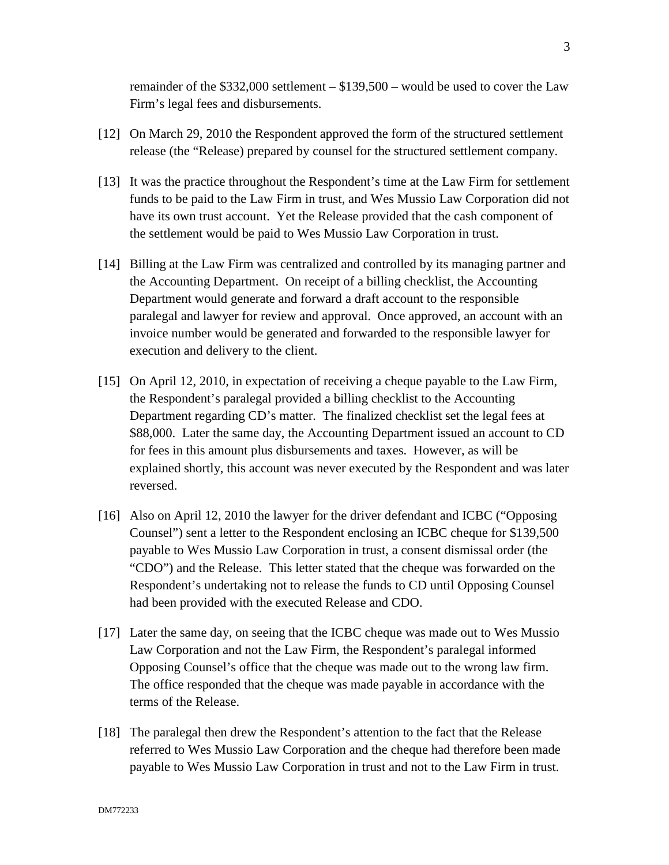remainder of the \$332,000 settlement – \$139,500 – would be used to cover the Law Firm's legal fees and disbursements.

- [12] On March 29, 2010 the Respondent approved the form of the structured settlement release (the "Release) prepared by counsel for the structured settlement company.
- [13] It was the practice throughout the Respondent's time at the Law Firm for settlement funds to be paid to the Law Firm in trust, and Wes Mussio Law Corporation did not have its own trust account. Yet the Release provided that the cash component of the settlement would be paid to Wes Mussio Law Corporation in trust.
- [14] Billing at the Law Firm was centralized and controlled by its managing partner and the Accounting Department. On receipt of a billing checklist, the Accounting Department would generate and forward a draft account to the responsible paralegal and lawyer for review and approval. Once approved, an account with an invoice number would be generated and forwarded to the responsible lawyer for execution and delivery to the client.
- [15] On April 12, 2010, in expectation of receiving a cheque payable to the Law Firm, the Respondent's paralegal provided a billing checklist to the Accounting Department regarding CD's matter. The finalized checklist set the legal fees at \$88,000. Later the same day, the Accounting Department issued an account to CD for fees in this amount plus disbursements and taxes. However, as will be explained shortly, this account was never executed by the Respondent and was later reversed.
- [16] Also on April 12, 2010 the lawyer for the driver defendant and ICBC ("Opposing Counsel") sent a letter to the Respondent enclosing an ICBC cheque for \$139,500 payable to Wes Mussio Law Corporation in trust, a consent dismissal order (the "CDO") and the Release. This letter stated that the cheque was forwarded on the Respondent's undertaking not to release the funds to CD until Opposing Counsel had been provided with the executed Release and CDO.
- [17] Later the same day, on seeing that the ICBC cheque was made out to Wes Mussio Law Corporation and not the Law Firm, the Respondent's paralegal informed Opposing Counsel's office that the cheque was made out to the wrong law firm. The office responded that the cheque was made payable in accordance with the terms of the Release.
- [18] The paralegal then drew the Respondent's attention to the fact that the Release referred to Wes Mussio Law Corporation and the cheque had therefore been made payable to Wes Mussio Law Corporation in trust and not to the Law Firm in trust.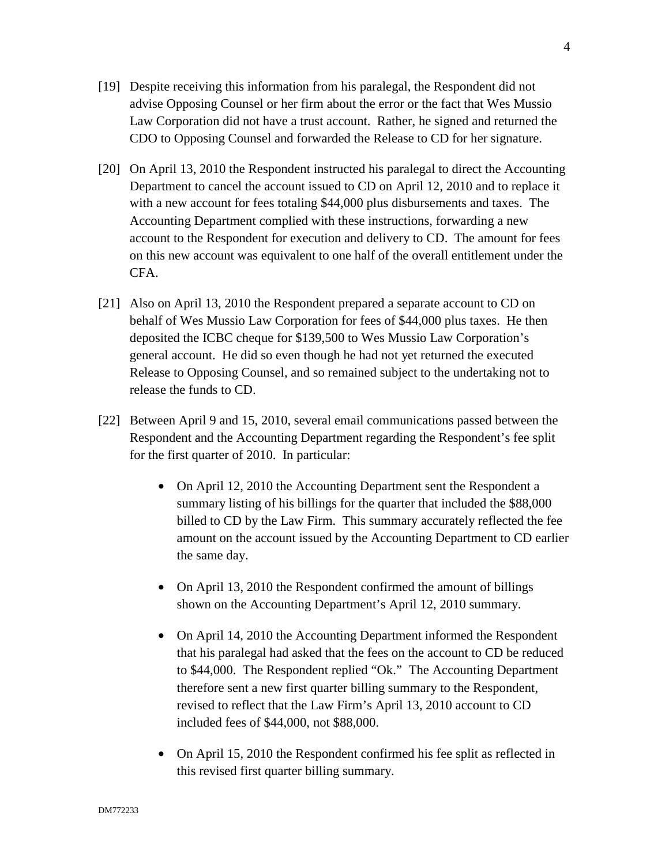- [19] Despite receiving this information from his paralegal, the Respondent did not advise Opposing Counsel or her firm about the error or the fact that Wes Mussio Law Corporation did not have a trust account. Rather, he signed and returned the CDO to Opposing Counsel and forwarded the Release to CD for her signature.
- [20] On April 13, 2010 the Respondent instructed his paralegal to direct the Accounting Department to cancel the account issued to CD on April 12, 2010 and to replace it with a new account for fees totaling \$44,000 plus disbursements and taxes. The Accounting Department complied with these instructions, forwarding a new account to the Respondent for execution and delivery to CD. The amount for fees on this new account was equivalent to one half of the overall entitlement under the CFA.
- [21] Also on April 13, 2010 the Respondent prepared a separate account to CD on behalf of Wes Mussio Law Corporation for fees of \$44,000 plus taxes. He then deposited the ICBC cheque for \$139,500 to Wes Mussio Law Corporation's general account. He did so even though he had not yet returned the executed Release to Opposing Counsel, and so remained subject to the undertaking not to release the funds to CD.
- [22] Between April 9 and 15, 2010, several email communications passed between the Respondent and the Accounting Department regarding the Respondent's fee split for the first quarter of 2010. In particular:
	- On April 12, 2010 the Accounting Department sent the Respondent a summary listing of his billings for the quarter that included the \$88,000 billed to CD by the Law Firm. This summary accurately reflected the fee amount on the account issued by the Accounting Department to CD earlier the same day.
	- On April 13, 2010 the Respondent confirmed the amount of billings shown on the Accounting Department's April 12, 2010 summary.
	- On April 14, 2010 the Accounting Department informed the Respondent that his paralegal had asked that the fees on the account to CD be reduced to \$44,000. The Respondent replied "Ok." The Accounting Department therefore sent a new first quarter billing summary to the Respondent, revised to reflect that the Law Firm's April 13, 2010 account to CD included fees of \$44,000, not \$88,000.
	- On April 15, 2010 the Respondent confirmed his fee split as reflected in this revised first quarter billing summary.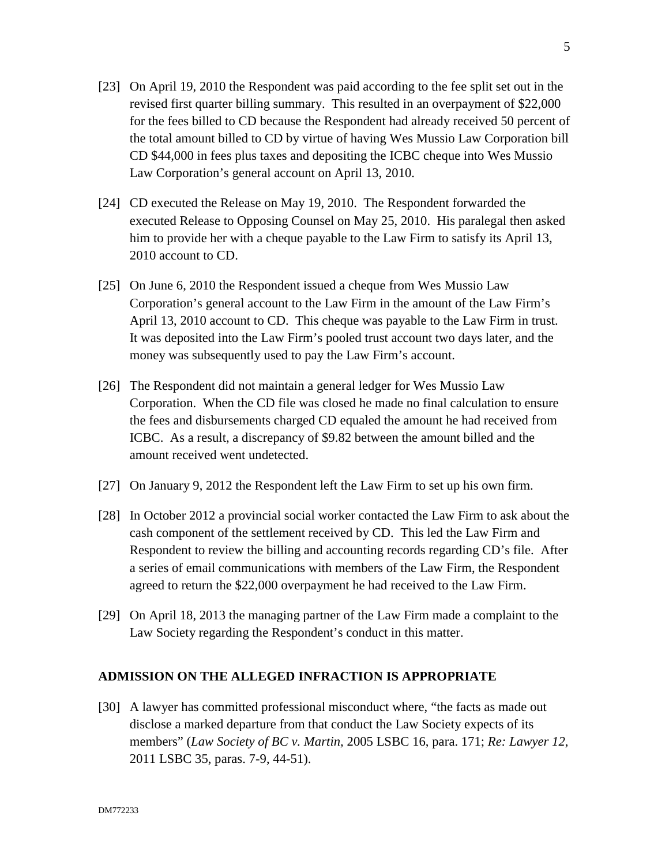- [23] On April 19, 2010 the Respondent was paid according to the fee split set out in the revised first quarter billing summary. This resulted in an overpayment of \$22,000 for the fees billed to CD because the Respondent had already received 50 percent of the total amount billed to CD by virtue of having Wes Mussio Law Corporation bill CD \$44,000 in fees plus taxes and depositing the ICBC cheque into Wes Mussio Law Corporation's general account on April 13, 2010.
- [24] CD executed the Release on May 19, 2010. The Respondent forwarded the executed Release to Opposing Counsel on May 25, 2010. His paralegal then asked him to provide her with a cheque payable to the Law Firm to satisfy its April 13, 2010 account to CD.
- [25] On June 6, 2010 the Respondent issued a cheque from Wes Mussio Law Corporation's general account to the Law Firm in the amount of the Law Firm's April 13, 2010 account to CD. This cheque was payable to the Law Firm in trust. It was deposited into the Law Firm's pooled trust account two days later, and the money was subsequently used to pay the Law Firm's account.
- [26] The Respondent did not maintain a general ledger for Wes Mussio Law Corporation. When the CD file was closed he made no final calculation to ensure the fees and disbursements charged CD equaled the amount he had received from ICBC. As a result, a discrepancy of \$9.82 between the amount billed and the amount received went undetected.
- [27] On January 9, 2012 the Respondent left the Law Firm to set up his own firm.
- [28] In October 2012 a provincial social worker contacted the Law Firm to ask about the cash component of the settlement received by CD. This led the Law Firm and Respondent to review the billing and accounting records regarding CD's file. After a series of email communications with members of the Law Firm, the Respondent agreed to return the \$22,000 overpayment he had received to the Law Firm.
- [29] On April 18, 2013 the managing partner of the Law Firm made a complaint to the Law Society regarding the Respondent's conduct in this matter.

## **ADMISSION ON THE ALLEGED INFRACTION IS APPROPRIATE**

[30] A lawyer has committed professional misconduct where, "the facts as made out disclose a marked departure from that conduct the Law Society expects of its members" (*Law Society of BC v. Martin,* 2005 LSBC 16, para. 171; *Re: Lawyer 12*, 2011 LSBC 35, paras. 7-9, 44-51).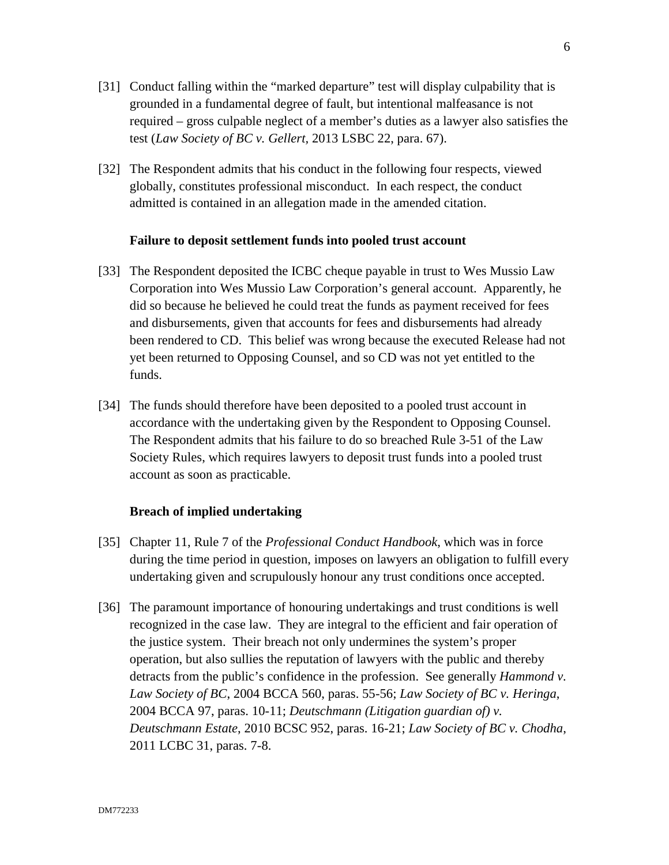- [31] Conduct falling within the "marked departure" test will display culpability that is grounded in a fundamental degree of fault, but intentional malfeasance is not required – gross culpable neglect of a member's duties as a lawyer also satisfies the test (*Law Society of BC v. Gellert,* 2013 LSBC 22, para. 67).
- [32] The Respondent admits that his conduct in the following four respects, viewed globally, constitutes professional misconduct. In each respect, the conduct admitted is contained in an allegation made in the amended citation.

### **Failure to deposit settlement funds into pooled trust account**

- [33] The Respondent deposited the ICBC cheque payable in trust to Wes Mussio Law Corporation into Wes Mussio Law Corporation's general account. Apparently, he did so because he believed he could treat the funds as payment received for fees and disbursements, given that accounts for fees and disbursements had already been rendered to CD. This belief was wrong because the executed Release had not yet been returned to Opposing Counsel, and so CD was not yet entitled to the funds.
- [34] The funds should therefore have been deposited to a pooled trust account in accordance with the undertaking given by the Respondent to Opposing Counsel. The Respondent admits that his failure to do so breached Rule 3-51 of the Law Society Rules, which requires lawyers to deposit trust funds into a pooled trust account as soon as practicable.

#### **Breach of implied undertaking**

- [35] Chapter 11, Rule 7 of the *Professional Conduct Handbook*, which was in force during the time period in question, imposes on lawyers an obligation to fulfill every undertaking given and scrupulously honour any trust conditions once accepted.
- [36] The paramount importance of honouring undertakings and trust conditions is well recognized in the case law. They are integral to the efficient and fair operation of the justice system. Their breach not only undermines the system's proper operation, but also sullies the reputation of lawyers with the public and thereby detracts from the public's confidence in the profession. See generally *Hammond v. Law Society of BC*, 2004 BCCA 560, paras. 55-56; *Law Society of BC v. Heringa*, 2004 BCCA 97, paras. 10-11; *Deutschmann (Litigation guardian of) v. Deutschmann Estate*, 2010 BCSC 952, paras. 16-21; *Law Society of BC v. Chodha*, 2011 LCBC 31, paras. 7-8.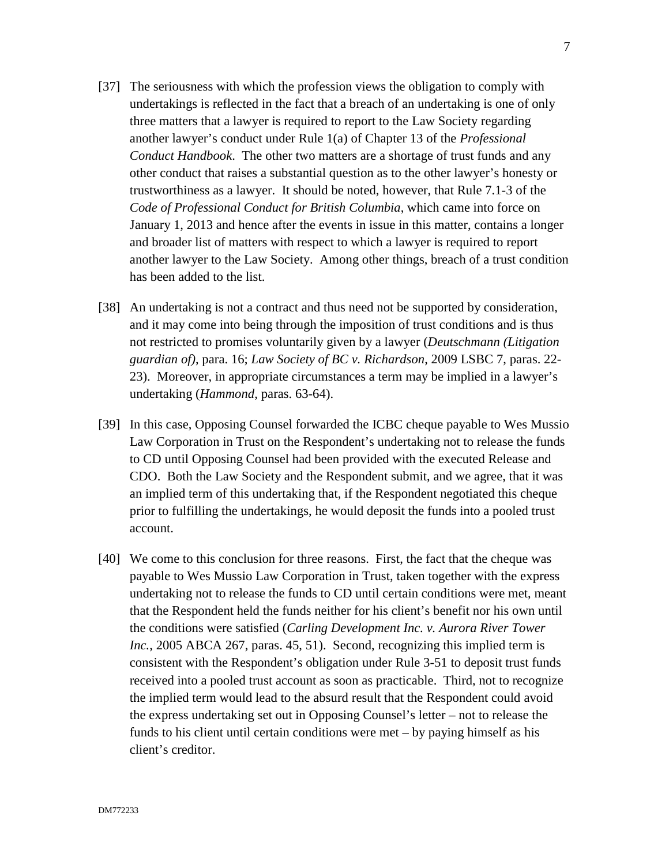- [37] The seriousness with which the profession views the obligation to comply with undertakings is reflected in the fact that a breach of an undertaking is one of only three matters that a lawyer is required to report to the Law Society regarding another lawyer's conduct under Rule 1(a) of Chapter 13 of the *Professional Conduct Handbook*. The other two matters are a shortage of trust funds and any other conduct that raises a substantial question as to the other lawyer's honesty or trustworthiness as a lawyer. It should be noted, however, that Rule 7.1-3 of the *Code of Professional Conduct for British Columbia*, which came into force on January 1, 2013 and hence after the events in issue in this matter, contains a longer and broader list of matters with respect to which a lawyer is required to report another lawyer to the Law Society. Among other things, breach of a trust condition has been added to the list.
- [38] An undertaking is not a contract and thus need not be supported by consideration, and it may come into being through the imposition of trust conditions and is thus not restricted to promises voluntarily given by a lawyer (*Deutschmann (Litigation guardian of)*, para. 16; *Law Society of BC v. Richardson*, 2009 LSBC 7, paras. 22- 23). Moreover, in appropriate circumstances a term may be implied in a lawyer's undertaking (*Hammond*, paras. 63-64).
- [39] In this case, Opposing Counsel forwarded the ICBC cheque payable to Wes Mussio Law Corporation in Trust on the Respondent's undertaking not to release the funds to CD until Opposing Counsel had been provided with the executed Release and CDO. Both the Law Society and the Respondent submit, and we agree, that it was an implied term of this undertaking that, if the Respondent negotiated this cheque prior to fulfilling the undertakings, he would deposit the funds into a pooled trust account.
- [40] We come to this conclusion for three reasons. First, the fact that the cheque was payable to Wes Mussio Law Corporation in Trust, taken together with the express undertaking not to release the funds to CD until certain conditions were met, meant that the Respondent held the funds neither for his client's benefit nor his own until the conditions were satisfied (*Carling Development Inc. v. Aurora River Tower Inc.*, 2005 ABCA 267, paras. 45, 51). Second, recognizing this implied term is consistent with the Respondent's obligation under Rule 3-51 to deposit trust funds received into a pooled trust account as soon as practicable. Third, not to recognize the implied term would lead to the absurd result that the Respondent could avoid the express undertaking set out in Opposing Counsel's letter – not to release the funds to his client until certain conditions were met – by paying himself as his client's creditor.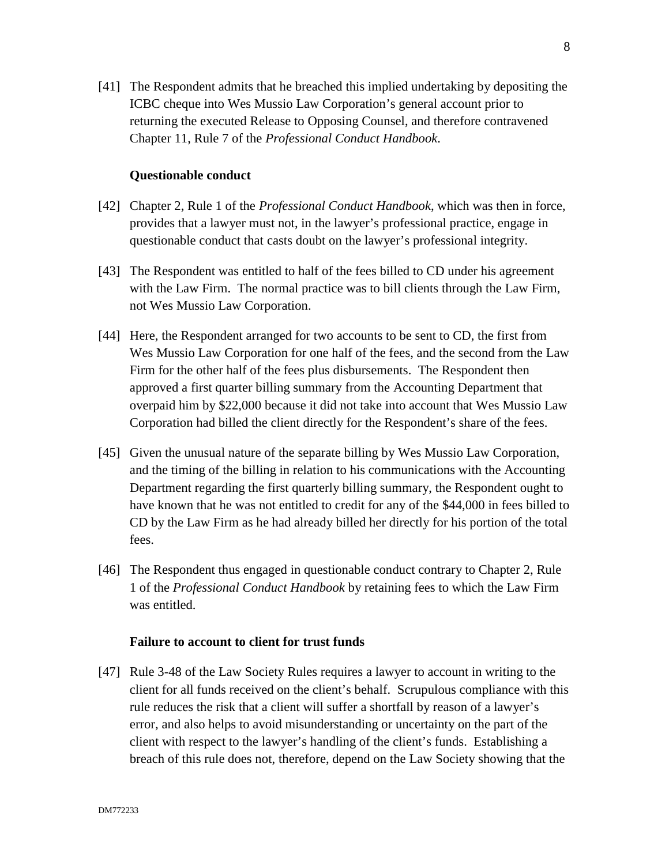[41] The Respondent admits that he breached this implied undertaking by depositing the ICBC cheque into Wes Mussio Law Corporation's general account prior to returning the executed Release to Opposing Counsel, and therefore contravened Chapter 11, Rule 7 of the *Professional Conduct Handbook*.

### **Questionable conduct**

- [42] Chapter 2, Rule 1 of the *Professional Conduct Handbook*, which was then in force, provides that a lawyer must not, in the lawyer's professional practice, engage in questionable conduct that casts doubt on the lawyer's professional integrity.
- [43] The Respondent was entitled to half of the fees billed to CD under his agreement with the Law Firm. The normal practice was to bill clients through the Law Firm, not Wes Mussio Law Corporation.
- [44] Here, the Respondent arranged for two accounts to be sent to CD, the first from Wes Mussio Law Corporation for one half of the fees, and the second from the Law Firm for the other half of the fees plus disbursements. The Respondent then approved a first quarter billing summary from the Accounting Department that overpaid him by \$22,000 because it did not take into account that Wes Mussio Law Corporation had billed the client directly for the Respondent's share of the fees.
- [45] Given the unusual nature of the separate billing by Wes Mussio Law Corporation, and the timing of the billing in relation to his communications with the Accounting Department regarding the first quarterly billing summary, the Respondent ought to have known that he was not entitled to credit for any of the \$44,000 in fees billed to CD by the Law Firm as he had already billed her directly for his portion of the total fees.
- [46] The Respondent thus engaged in questionable conduct contrary to Chapter 2, Rule 1 of the *Professional Conduct Handbook* by retaining fees to which the Law Firm was entitled.

### **Failure to account to client for trust funds**

[47] Rule 3-48 of the Law Society Rules requires a lawyer to account in writing to the client for all funds received on the client's behalf. Scrupulous compliance with this rule reduces the risk that a client will suffer a shortfall by reason of a lawyer's error, and also helps to avoid misunderstanding or uncertainty on the part of the client with respect to the lawyer's handling of the client's funds. Establishing a breach of this rule does not, therefore, depend on the Law Society showing that the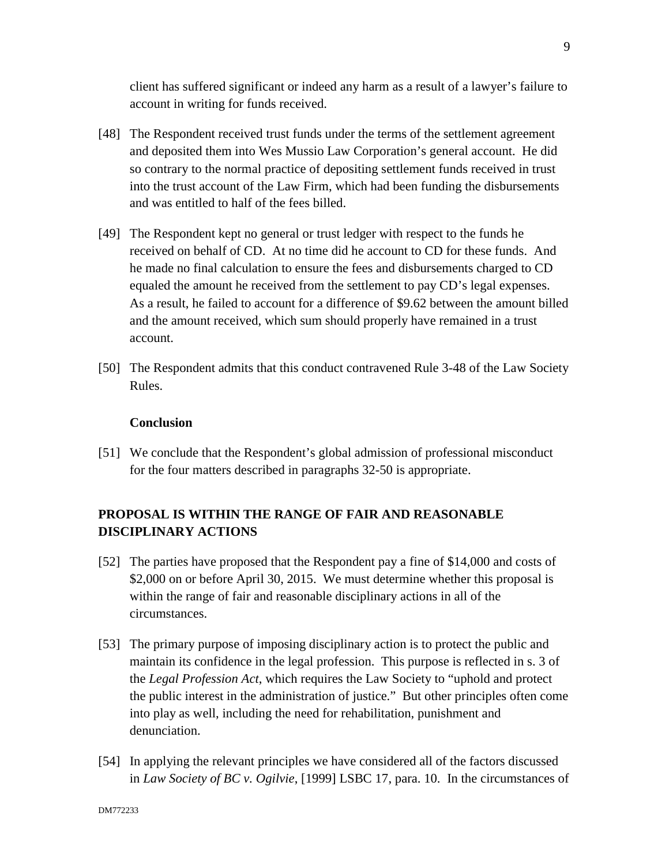client has suffered significant or indeed any harm as a result of a lawyer's failure to account in writing for funds received.

- [48] The Respondent received trust funds under the terms of the settlement agreement and deposited them into Wes Mussio Law Corporation's general account. He did so contrary to the normal practice of depositing settlement funds received in trust into the trust account of the Law Firm, which had been funding the disbursements and was entitled to half of the fees billed.
- [49] The Respondent kept no general or trust ledger with respect to the funds he received on behalf of CD. At no time did he account to CD for these funds. And he made no final calculation to ensure the fees and disbursements charged to CD equaled the amount he received from the settlement to pay CD's legal expenses. As a result, he failed to account for a difference of \$9.62 between the amount billed and the amount received, which sum should properly have remained in a trust account.
- [50] The Respondent admits that this conduct contravened Rule 3-48 of the Law Society Rules.

## **Conclusion**

[51] We conclude that the Respondent's global admission of professional misconduct for the four matters described in paragraphs 32-50 is appropriate.

# **PROPOSAL IS WITHIN THE RANGE OF FAIR AND REASONABLE DISCIPLINARY ACTIONS**

- [52] The parties have proposed that the Respondent pay a fine of \$14,000 and costs of \$2,000 on or before April 30, 2015. We must determine whether this proposal is within the range of fair and reasonable disciplinary actions in all of the circumstances.
- [53] The primary purpose of imposing disciplinary action is to protect the public and maintain its confidence in the legal profession. This purpose is reflected in s. 3 of the *Legal Profession Act*, which requires the Law Society to "uphold and protect the public interest in the administration of justice." But other principles often come into play as well, including the need for rehabilitation, punishment and denunciation.
- [54] In applying the relevant principles we have considered all of the factors discussed in *Law Society of BC v. Ogilvie*, [1999] LSBC 17, para. 10. In the circumstances of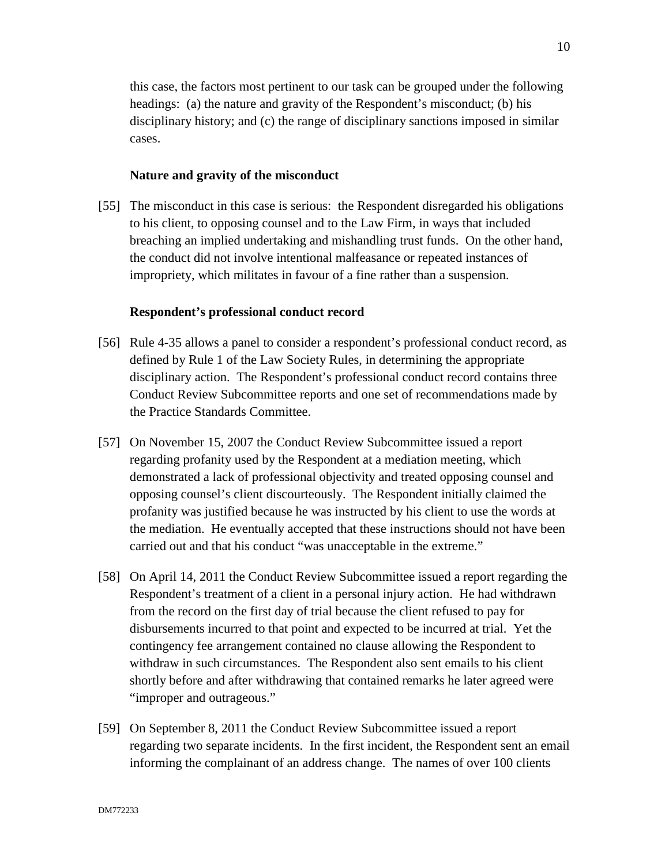this case, the factors most pertinent to our task can be grouped under the following headings: (a) the nature and gravity of the Respondent's misconduct; (b) his disciplinary history; and (c) the range of disciplinary sanctions imposed in similar cases.

#### **Nature and gravity of the misconduct**

[55] The misconduct in this case is serious: the Respondent disregarded his obligations to his client, to opposing counsel and to the Law Firm, in ways that included breaching an implied undertaking and mishandling trust funds. On the other hand, the conduct did not involve intentional malfeasance or repeated instances of impropriety, which militates in favour of a fine rather than a suspension.

#### **Respondent's professional conduct record**

- [56] Rule 4-35 allows a panel to consider a respondent's professional conduct record, as defined by Rule 1 of the Law Society Rules, in determining the appropriate disciplinary action. The Respondent's professional conduct record contains three Conduct Review Subcommittee reports and one set of recommendations made by the Practice Standards Committee.
- [57] On November 15, 2007 the Conduct Review Subcommittee issued a report regarding profanity used by the Respondent at a mediation meeting, which demonstrated a lack of professional objectivity and treated opposing counsel and opposing counsel's client discourteously. The Respondent initially claimed the profanity was justified because he was instructed by his client to use the words at the mediation. He eventually accepted that these instructions should not have been carried out and that his conduct "was unacceptable in the extreme."
- [58] On April 14, 2011 the Conduct Review Subcommittee issued a report regarding the Respondent's treatment of a client in a personal injury action. He had withdrawn from the record on the first day of trial because the client refused to pay for disbursements incurred to that point and expected to be incurred at trial. Yet the contingency fee arrangement contained no clause allowing the Respondent to withdraw in such circumstances. The Respondent also sent emails to his client shortly before and after withdrawing that contained remarks he later agreed were "improper and outrageous."
- [59] On September 8, 2011 the Conduct Review Subcommittee issued a report regarding two separate incidents. In the first incident, the Respondent sent an email informing the complainant of an address change. The names of over 100 clients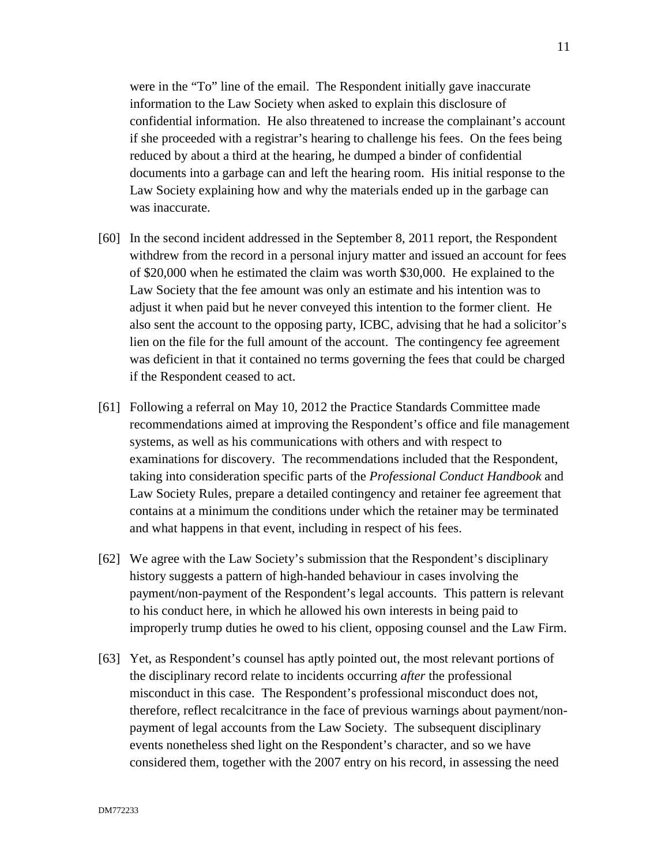were in the "To" line of the email. The Respondent initially gave inaccurate information to the Law Society when asked to explain this disclosure of confidential information. He also threatened to increase the complainant's account if she proceeded with a registrar's hearing to challenge his fees. On the fees being reduced by about a third at the hearing, he dumped a binder of confidential documents into a garbage can and left the hearing room. His initial response to the Law Society explaining how and why the materials ended up in the garbage can was inaccurate.

- [60] In the second incident addressed in the September 8, 2011 report, the Respondent withdrew from the record in a personal injury matter and issued an account for fees of \$20,000 when he estimated the claim was worth \$30,000. He explained to the Law Society that the fee amount was only an estimate and his intention was to adjust it when paid but he never conveyed this intention to the former client. He also sent the account to the opposing party, ICBC, advising that he had a solicitor's lien on the file for the full amount of the account. The contingency fee agreement was deficient in that it contained no terms governing the fees that could be charged if the Respondent ceased to act.
- [61] Following a referral on May 10, 2012 the Practice Standards Committee made recommendations aimed at improving the Respondent's office and file management systems, as well as his communications with others and with respect to examinations for discovery. The recommendations included that the Respondent, taking into consideration specific parts of the *Professional Conduct Handbook* and Law Society Rules, prepare a detailed contingency and retainer fee agreement that contains at a minimum the conditions under which the retainer may be terminated and what happens in that event, including in respect of his fees.
- [62] We agree with the Law Society's submission that the Respondent's disciplinary history suggests a pattern of high-handed behaviour in cases involving the payment/non-payment of the Respondent's legal accounts. This pattern is relevant to his conduct here, in which he allowed his own interests in being paid to improperly trump duties he owed to his client, opposing counsel and the Law Firm.
- [63] Yet, as Respondent's counsel has aptly pointed out, the most relevant portions of the disciplinary record relate to incidents occurring *after* the professional misconduct in this case. The Respondent's professional misconduct does not, therefore, reflect recalcitrance in the face of previous warnings about payment/nonpayment of legal accounts from the Law Society. The subsequent disciplinary events nonetheless shed light on the Respondent's character, and so we have considered them, together with the 2007 entry on his record, in assessing the need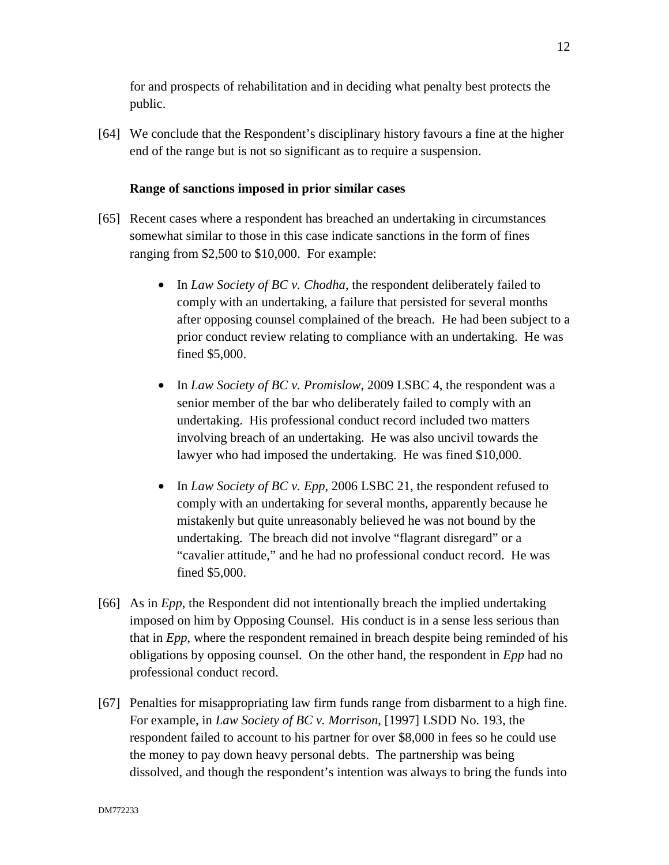for and prospects of rehabilitation and in deciding what penalty best protects the public.

[64] We conclude that the Respondent's disciplinary history favours a fine at the higher end of the range but is not so significant as to require a suspension.

# **Range of sanctions imposed in prior similar cases**

- [65] Recent cases where a respondent has breached an undertaking in circumstances somewhat similar to those in this case indicate sanctions in the form of fines ranging from \$2,500 to \$10,000. For example:
	- In *Law Society of BC v. Chodha*, the respondent deliberately failed to comply with an undertaking, a failure that persisted for several months after opposing counsel complained of the breach. He had been subject to a prior conduct review relating to compliance with an undertaking. He was fined \$5,000.
	- In *Law Society of BC v. Promislow*, 2009 LSBC 4, the respondent was a senior member of the bar who deliberately failed to comply with an undertaking. His professional conduct record included two matters involving breach of an undertaking. He was also uncivil towards the lawyer who had imposed the undertaking. He was fined \$10,000.
	- In *Law Society of BC v. Epp*, 2006 LSBC 21, the respondent refused to comply with an undertaking for several months, apparently because he mistakenly but quite unreasonably believed he was not bound by the undertaking. The breach did not involve "flagrant disregard" or a "cavalier attitude," and he had no professional conduct record. He was fined \$5,000.
- [66] As in *Epp*, the Respondent did not intentionally breach the implied undertaking imposed on him by Opposing Counsel. His conduct is in a sense less serious than that in *Epp*, where the respondent remained in breach despite being reminded of his obligations by opposing counsel. On the other hand, the respondent in *Epp* had no professional conduct record.
- [67] Penalties for misappropriating law firm funds range from disbarment to a high fine. For example, in *Law Society of BC v. Morrison*, [1997] LSDD No. 193, the respondent failed to account to his partner for over \$8,000 in fees so he could use the money to pay down heavy personal debts. The partnership was being dissolved, and though the respondent's intention was always to bring the funds into